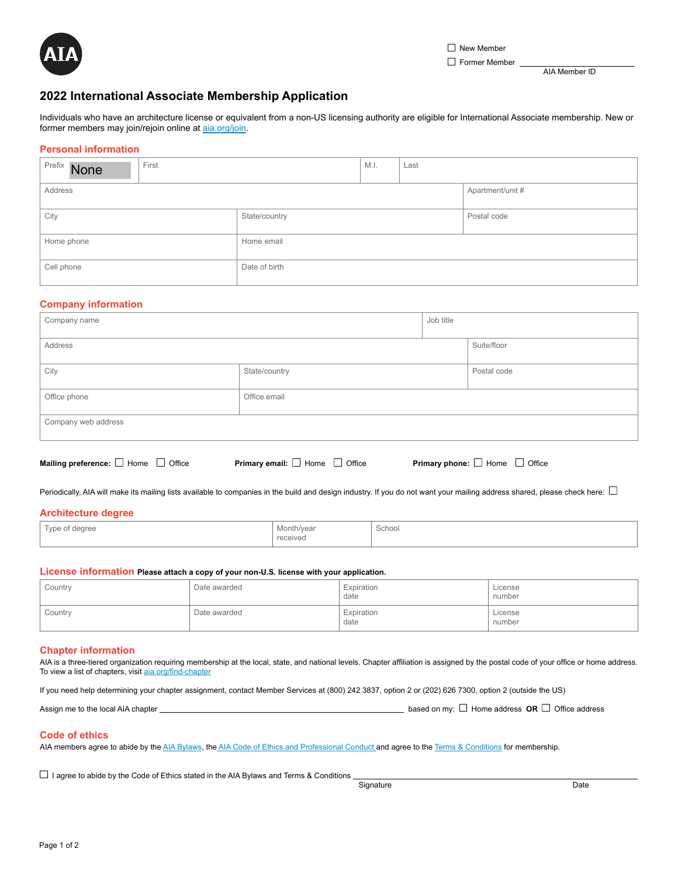

Former Member

AIA Member ID

# **2022 International Associate Membership Application**

Individuals who have an architecture license or equivalent from a non-US licensing authority are eligible for International Associate membership. New or former members may join/rejoin online at [aia.org/join](http://www.aia.org/join).

## **Personal information**

| Prefix None | First |               | M.I. | Last             |  |
|-------------|-------|---------------|------|------------------|--|
| Address     |       |               |      | Apartment/unit # |  |
| City        |       | State/country |      | Postal code      |  |
| Home phone  |       | Home email    |      |                  |  |
| Cell phone  |       | Date of birth |      |                  |  |

## **Company information**

| Company name        |               |             | Job title   |  |
|---------------------|---------------|-------------|-------------|--|
| Address             |               | Suite/floor |             |  |
| City                | State/country |             | Postal code |  |
| Office phone        | Office email  |             |             |  |
| Company web address |               |             |             |  |

| Mailing preference: $\Box$ Home $\Box$ Office | <b>Primary email:</b> $\Box$ Home $\Box$ Office | <b>Primary phone:</b> $\Box$ Home $\Box$ Office |
|-----------------------------------------------|-------------------------------------------------|-------------------------------------------------|
|                                               |                                                 |                                                 |

Periodically, AIA will make its mailing lists available to companies in the build and design industry. If you do not want your mailing address shared, please check here:  $\Box$ 

#### **Architecture degree**

| $\overline{\phantom{a}}$<br>Type of degree<br>$\overline{ }$ | Month/year    | School<br>. |
|--------------------------------------------------------------|---------------|-------------|
|                                                              | received<br>. |             |

## **License information Please attach a copy of your non-U.S. license with your application.**

| Country | Date awarded | Expiration<br>date | License<br>number |
|---------|--------------|--------------------|-------------------|
| Country | Date awarded | Expiration<br>date | License<br>number |

#### **Chapter information**

AIA is a three-tiered organization requiring membership at the local, state, and national levels. Chapter affiliation is assigned by the postal code of your office or home address. To view a list of chapters, visit [aia.org/find-chapter](http://www.aia.org/find-chapter)

If you need help determining your chapter assignment, contact Member Services at (800) 242 3837, option 2 or (202) 626 7300, option 2 (outside the US)

Assign me to the local AIA chapter **based on the local AIA chapter based on my:** Home address **OR** Office address

## **Code of ethics**

AIA members agree to abide by the [AIA Bylaws](https://content.aia.org/sites/default/files/2021-06/AIA_Bylaws_June_2021.pdf), the [AIA Code of Ethics and Professional Conduct a](https://www.aia.org/pages/3296-code-of-ethics--professional-conduct)nd agree to the [Terms & Conditions](https://www.aia.org/pages/182576-terms-and-conditions) for membership.

 $\Box$  I agree to abide by the Code of Ethics stated in the AIA Bylaws and Terms & Conditions